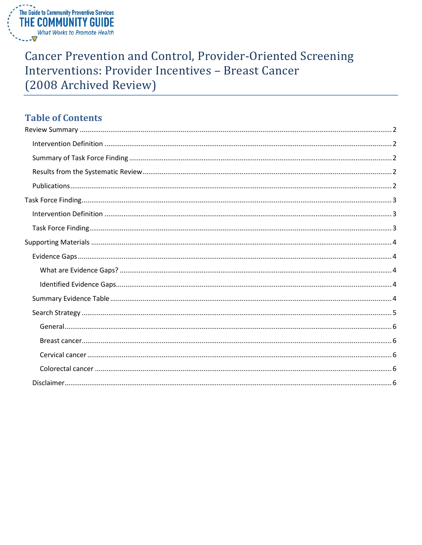

# **Cancer Prevention and Control, Provider-Oriented Screening** Interventions: Provider Incentives - Breast Cancer (2008 Archived Review)

# **Table of Contents**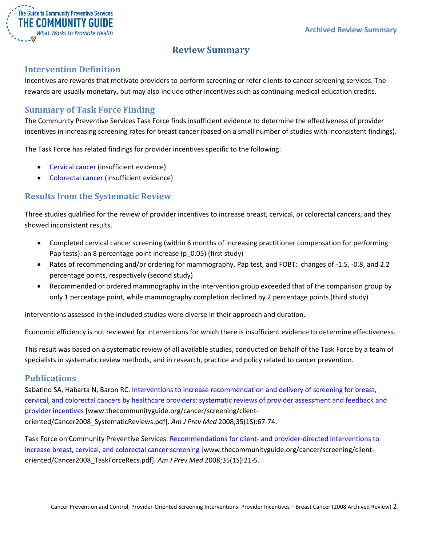

# **Review Summary**

# <span id="page-1-1"></span><span id="page-1-0"></span>**Intervention Definition**

Incentives are rewards that motivate providers to perform screening or refer clients to cancer screening services. The rewards are usually monetary, but may also include other incentives such as continuing medical education credits.

# <span id="page-1-2"></span>**Summary of Task Force Finding**

The Community Preventive Services Task Force finds insufficient evidence to determine the effectiveness of provider incentives in increasing screening rates for breast cancer (based on a small number of studies with inconsistent findings).

The Task Force has related findings for provider incentives specific to the following:

- Cervical cancer (insufficient evidence)
- Colorectal cancer (insufficient evidence)

# <span id="page-1-3"></span>**Results from the Systematic Review**

Three studies qualified for the review of provider incentives to increase breast, cervical, or colorectal cancers, and they showed inconsistent results.

- Completed cervical cancer screening (within 6 months of increasing practitioner compensation for performing Pap tests): an 8 percentage point increase (p\_0.05) (first study)
- Rates of recommending and/or ordering for mammography, Pap test, and FOBT: changes of -1.5, -0.8, and 2.2 percentage points, respectively (second study)
- Recommended or ordered mammography in the intervention group exceeded that of the comparison group by only 1 percentage point, while mammography completion declined by 2 percentage points (third study)

Interventions assessed in the included studies were diverse in their approach and duration.

Economic efficiency is not reviewed for interventions for which there is insufficient evidence to determine effectiveness.

This result was based on a systematic review of all available studies, conducted on behalf of the Task Force by a team of specialists in systematic review methods, and in research, practice and policy related to cancer prevention.

### <span id="page-1-4"></span>**Publications**

Sabatino SA, Habarta N, Baron RC. [Interventions to increase recommendation and delivery of screening for breast,](http://www.thecommunityguide.org/cancer/screening/client-oriented/Cancer2008_SystematicReviews.pdf)  [cervical, and colorectal cancers by healthcare providers: systematic reviews of provider assessment and feedback and](http://www.thecommunityguide.org/cancer/screening/client-oriented/Cancer2008_SystematicReviews.pdf)  [provider incentives](http://www.thecommunityguide.org/cancer/screening/client-oriented/Cancer2008_SystematicReviews.pdf) [www.thecommunityguide.org/cancer/screening/clientoriented/Cancer2008\_SystematicReviews.pdf]. *Am J Prev Med* 2008;35(1S):67-74.

Task Force on Community Preventive Services. Recommendations for client- [and provider-directed interventions to](http://www.thecommunityguide.org/cancer/screening/client-oriented/Cancer2008_TaskForceRecs.pdf)  [increase breast, cervical, and colorectal cancer screening](http://www.thecommunityguide.org/cancer/screening/client-oriented/Cancer2008_TaskForceRecs.pdf) [www.thecommunityguide.org/cancer/screening/clientoriented/Cancer2008\_TaskForceRecs.pdf]. *Am J Prev Med* 2008;35(1S):21-5.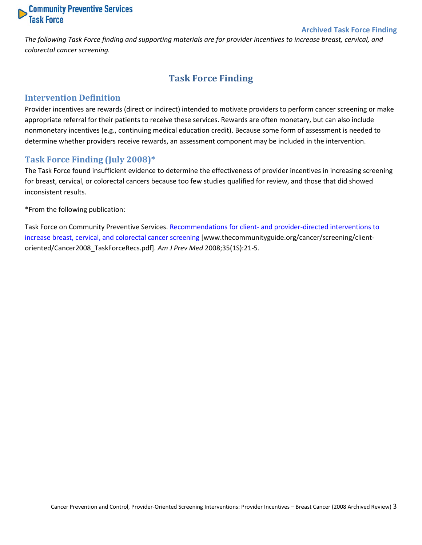

#### **Archived Task Force Finding**

<span id="page-2-0"></span>*The following Task Force finding and supporting materials are for provider incentives to increase breast, cervical, and colorectal cancer screening.*

# **Task Force Finding**

#### <span id="page-2-1"></span>**Intervention Definition**

Provider incentives are rewards (direct or indirect) intended to motivate providers to perform cancer screening or make appropriate referral for their patients to receive these services. Rewards are often monetary, but can also include nonmonetary incentives (e.g., continuing medical education credit). Because some form of assessment is needed to determine whether providers receive rewards, an assessment component may be included in the intervention.

#### <span id="page-2-2"></span>**Task Force Finding (July 2008)\***

The Task Force found insufficient evidence to determine the effectiveness of provider incentives in increasing screening for breast, cervical, or colorectal cancers because too few studies qualified for review, and those that did showed inconsistent results.

\*From the following publication:

Task Force on Community Preventive Services. Recommendations for client- [and provider-directed interventions to](http://www.thecommunityguide.org/cancer/screening/client-oriented/Cancer2008_TaskForceRecs.pdf)  [increase breast, cervical, and colorectal cancer screening](http://www.thecommunityguide.org/cancer/screening/client-oriented/Cancer2008_TaskForceRecs.pdf) [www.thecommunityguide.org/cancer/screening/clientoriented/Cancer2008\_TaskForceRecs.pdf]. *Am J Prev Med* 2008;35(1S):21-5.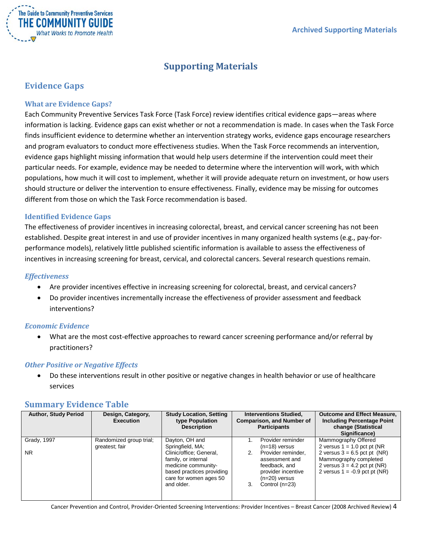

# **Supporting Materials**

# <span id="page-3-1"></span><span id="page-3-0"></span>**Evidence Gaps**

#### <span id="page-3-2"></span>**What are Evidence Gaps?**

Each Community Preventive Services Task Force (Task Force) review identifies critical evidence gaps—areas where information is lacking. Evidence gaps can exist whether or not a recommendation is made. In cases when the Task Force finds insufficient evidence to determine whether an intervention strategy works, evidence gaps encourage researchers and program evaluators to conduct more effectiveness studies. When the Task Force recommends an intervention, evidence gaps highlight missing information that would help users determine if the intervention could meet their particular needs. For example, evidence may be needed to determine where the intervention will work, with which populations, how much it will cost to implement, whether it will provide adequate return on investment, or how users should structure or deliver the intervention to ensure effectiveness. Finally, evidence may be missing for outcomes different from those on which the Task Force recommendation is based.

#### <span id="page-3-3"></span>**Identified Evidence Gaps**

The effectiveness of provider incentives in increasing colorectal, breast, and cervical cancer screening has not been established. Despite great interest in and use of provider incentives in many organized health systems (e.g., pay-forperformance models), relatively little published scientific information is available to assess the effectiveness of incentives in increasing screening for breast, cervical, and colorectal cancers. Several research questions remain.

#### *Effectiveness*

- Are provider incentives effective in increasing screening for colorectal, breast, and cervical cancers?
- Do provider incentives incrementally increase the effectiveness of provider assessment and feedback interventions?

#### *Economic Evidence*

• What are the most cost-effective approaches to reward cancer screening performance and/or referral by practitioners?

#### *Other Positive or Negative Effects*

• Do these interventions result in other positive or negative changes in health behavior or use of healthcare services

### <span id="page-3-4"></span>**Summary Evidence Table**

| <b>Author, Study Period</b> | Design, Category,<br><b>Execution</b>     | <b>Study Location, Setting</b><br>type Population<br><b>Description</b>                                                                    | <b>Interventions Studied,</b><br><b>Comparison, and Number of</b><br><b>Participants</b> |                                                                                                                                       | <b>Outcome and Effect Measure,</b><br><b>Including Percentage Point</b><br>change (Statistical<br>Significance)              |
|-----------------------------|-------------------------------------------|--------------------------------------------------------------------------------------------------------------------------------------------|------------------------------------------------------------------------------------------|---------------------------------------------------------------------------------------------------------------------------------------|------------------------------------------------------------------------------------------------------------------------------|
| Grady, 1997                 | Randomized group trial;<br>greatest; fair | Dayton, OH and<br>Springfield, MA;                                                                                                         |                                                                                          | Provider reminder                                                                                                                     | Mammography Offered<br>2 versus $1 = 1.0$ pct pt (NR)                                                                        |
| NR.                         |                                           | Clinic/office; General,<br>family, or internal<br>medicine community-<br>based practices providing<br>care for women ages 50<br>and older. |                                                                                          | $(n=18)$ versus<br>Provider reminder,<br>assessment and<br>feedback, and<br>provider incentive<br>$(n=20)$ versus<br>Control $(n=23)$ | 2 versus $3 = 6.5$ pct pt (NR)<br>Mammography completed<br>2 versus $3 = 4.2$ pct pt (NR)<br>2 versus $1 = -0.9$ pct pt (NR) |

Cancer Prevention and Control, Provider-Oriented Screening Interventions: Provider Incentives – Breast Cancer (2008 Archived Review) 4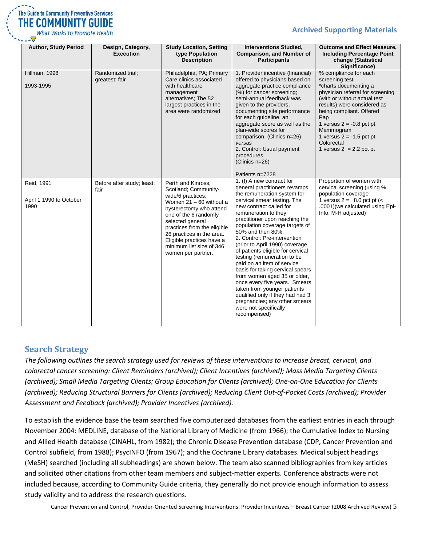

**Archived Supporting Materials**

| <b>Author, Study Period</b>                   | Design, Category,<br><b>Execution</b> | <b>Study Location, Setting</b><br>type Population<br><b>Description</b>                                                                                                                                                                                                                                         | <b>Interventions Studied,</b><br><b>Comparison, and Number of</b><br><b>Participants</b>                                                                                                                                                                                                                                                                                                                                                                                                                                                                                                                                                                                                                      | <b>Outcome and Effect Measure,</b><br><b>Including Percentage Point</b><br>change (Statistical<br>Significance)                                                                                                                                                                                                            |
|-----------------------------------------------|---------------------------------------|-----------------------------------------------------------------------------------------------------------------------------------------------------------------------------------------------------------------------------------------------------------------------------------------------------------------|---------------------------------------------------------------------------------------------------------------------------------------------------------------------------------------------------------------------------------------------------------------------------------------------------------------------------------------------------------------------------------------------------------------------------------------------------------------------------------------------------------------------------------------------------------------------------------------------------------------------------------------------------------------------------------------------------------------|----------------------------------------------------------------------------------------------------------------------------------------------------------------------------------------------------------------------------------------------------------------------------------------------------------------------------|
| Hillman, 1998<br>1993-1995                    | Randomized trial;<br>greatest; fair   | Philadelphia, PA; Primary<br>Care clinics associated<br>with healthcare<br>management<br>alternatives; The 52<br>largest practices in the<br>area were randomized                                                                                                                                               | 1. Provider incentive (financial)<br>offered to physicians based on<br>aggregate practice compliance<br>(%) for cancer screening;<br>semi-annual feedback was<br>given to the providers,<br>documenting site performance<br>for each quideline, an<br>aggregate score as well as the<br>plan-wide scores for<br>comparison. (Clinics n=26)<br>versus<br>2. Control: Usual payment<br>procedures<br>(Clinics n=26)                                                                                                                                                                                                                                                                                             | % compliance for each<br>screening test<br>*charts documenting a<br>physician referral for screening<br>(with or without actual test<br>results) were considered as<br>being compliant. Offered<br>Pap<br>1 versus $2 = -0.8$ pct pt<br>Mammogram<br>1 versus $2 = -1.5$ pct pt<br>Colorectal<br>1 versus $2 = 2.2$ pct pt |
| Reid, 1991<br>April 1 1990 to October<br>1990 | Before after study; least;<br>fair    | Perth and Kinross,<br>Scotland; Community-<br>wide/6 practices;<br>Women $21 - 60$ without a<br>hysterectomy who attend<br>one of the 6 randomly<br>selected general<br>practices from the eligible<br>26 practices in the area.<br>Eligible practices have a<br>minimum list size of 346<br>women per partner. | Patients n=7228<br>1. (I) A new contract for<br>general practitioners revamps<br>the remuneration system for<br>cervical smear testing. The<br>new contract called for<br>remuneration to they<br>practitioner upon reaching the<br>population coverage targets of<br>50% and then 80%.<br>2. Control: Pre-intervention<br>(prior to April 1990) coverage<br>of patients eligible for cervical<br>testing (remuneration to be<br>paid on an item of service<br>basis for taking cervical spears<br>from women aged 35 or older,<br>once every five years. Smears<br>taken from younger patients<br>qualified only if they had had 3<br>pregnancies; any other smears<br>were not specifically<br>recompensed) | Proportion of women with<br>cervical screening (using %<br>population coverage<br>1 versus $2 = 8.0$ pct pt (<<br>.0001) (we calculated using Epi-<br>Info; M-H adjusted)                                                                                                                                                  |

# <span id="page-4-0"></span>**Search Strategy**

*The following outlines the search strategy used for reviews of these interventions to increase breast, cervical, and colorectal cancer screening: Client Reminders (archived); Client Incentives (archived); Mass Media Targeting Clients (archived); Small Media Targeting Clients; Group Education for Clients (archived); One-on-One Education for Clients (archived); Reducing Structural Barriers for Clients (archived); Reducing Client Out-of-Pocket Costs (archived); Provider Assessment and Feedback (archived); Provider Incentives (archived).*

To establish the evidence base the team searched five computerized databases from the earliest entries in each through November 2004: MEDLINE, database of the National Library of Medicine (from 1966); the Cumulative Index to Nursing and Allied Health database (CINAHL, from 1982); the Chronic Disease Prevention database (CDP, Cancer Prevention and Control subfield, from 1988); PsycINFO (from 1967); and the Cochrane Library databases. Medical subject headings (MeSH) searched (including all subheadings) are shown below. The team also scanned bibliographies from key articles and solicited other citations from other team members and subject-matter experts. Conference abstracts were not included because, according to Community Guide criteria, they generally do not provide enough information to assess study validity and to address the research questions.

Cancer Prevention and Control, Provider-Oriented Screening Interventions: Provider Incentives – Breast Cancer (2008 Archived Review) 5